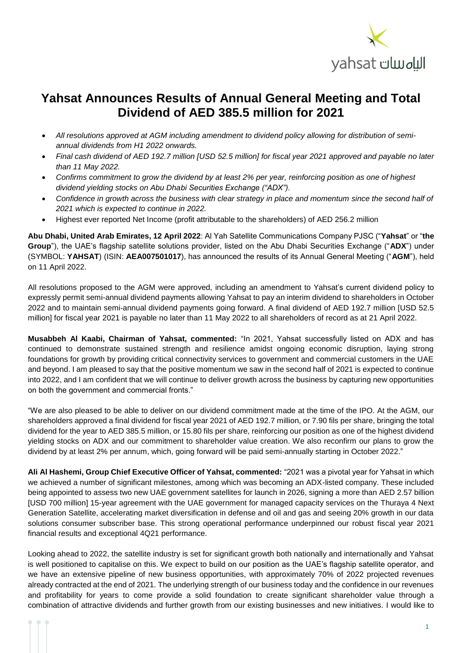

## **Yahsat Announces Results of Annual General Meeting and Total Dividend of AED 385.5 million for 2021**

- *All resolutions approved at AGM including amendment to dividend policy allowing for distribution of semiannual dividends from H1 2022 onwards.*
- *Final cash dividend of AED 192.7 million [USD 52.5 million] for fiscal year 2021 approved and payable no later than 11 May 2022.*
- *Confirms commitment to grow the dividend by at least 2% per year, reinforcing position as one of highest dividend yielding stocks on Abu Dhabi Securities Exchange ("ADX").*
- *Confidence in growth across the business with clear strategy in place and momentum since the second half of 2021 which is expected to continue in 2022.*
- Highest ever reported Net Income (profit attributable to the shareholders) of AED 256.2 million

**Abu Dhabi, United Arab Emirates, 12 April 2022**: Al Yah Satellite Communications Company PJSC ("**Yahsat**" or "**the Group**"), the UAE's flagship satellite solutions provider, listed on the Abu Dhabi Securities Exchange ("**ADX**") under (SYMBOL: **YAHSAT**) (ISIN: **AEA007501017**), has announced the results of its Annual General Meeting ("**AGM**"), held on 11 April 2022.

All resolutions proposed to the AGM were approved, including an amendment to Yahsat's current dividend policy to expressly permit semi-annual dividend payments allowing Yahsat to pay an interim dividend to shareholders in October 2022 and to maintain semi-annual dividend payments going forward. A final dividend of AED 192.7 million [USD 52.5 million] for fiscal year 2021 is payable no later than 11 May 2022 to all shareholders of record as at 21 April 2022.

**Musabbeh Al Kaabi, Chairman of Yahsat, commented:** "In 2021, Yahsat successfully listed on ADX and has continued to demonstrate sustained strength and resilience amidst ongoing economic disruption, laying strong foundations for growth by providing critical connectivity services to government and commercial customers in the UAE and beyond. I am pleased to say that the positive momentum we saw in the second half of 2021 is expected to continue into 2022, and I am confident that we will continue to deliver growth across the business by capturing new opportunities on both the government and commercial fronts."

"We are also pleased to be able to deliver on our dividend commitment made at the time of the IPO. At the AGM, our shareholders approved a final dividend for fiscal year 2021 of AED 192.7 million, or 7.90 fils per share, bringing the total dividend for the year to AED 385.5 million, or 15.80 fils per share, reinforcing our position as one of the highest dividend yielding stocks on ADX and our commitment to shareholder value creation. We also reconfirm our plans to grow the dividend by at least 2% per annum, which, going forward will be paid semi-annually starting in October 2022."

**Ali Al Hashemi, Group Chief Executive Officer of Yahsat, commented:** "2021 was a pivotal year for Yahsat in which we achieved a number of significant milestones, among which was becoming an ADX-listed company. These included being appointed to assess two new UAE government satellites for launch in 2026, signing a more than AED 2.57 billion [USD 700 million] 15-year agreement with the UAE government for managed capacity services on the Thuraya 4 Next Generation Satellite, accelerating market diversification in defense and oil and gas and seeing 20% growth in our data solutions consumer subscriber base. This strong operational performance underpinned our robust fiscal year 2021 financial results and exceptional 4Q21 performance.

Looking ahead to 2022, the satellite industry is set for significant growth both nationally and internationally and Yahsat is well positioned to capitalise on this. We expect to build on our position as the UAE's flagship satellite operator, and we have an extensive pipeline of new business opportunities, with approximately 70% of 2022 projected revenues already contracted at the end of 2021. The underlying strength of our business today and the confidence in our revenues and profitability for years to come provide a solid foundation to create significant shareholder value through a combination of attractive dividends and further growth from our existing businesses and new initiatives. I would like to